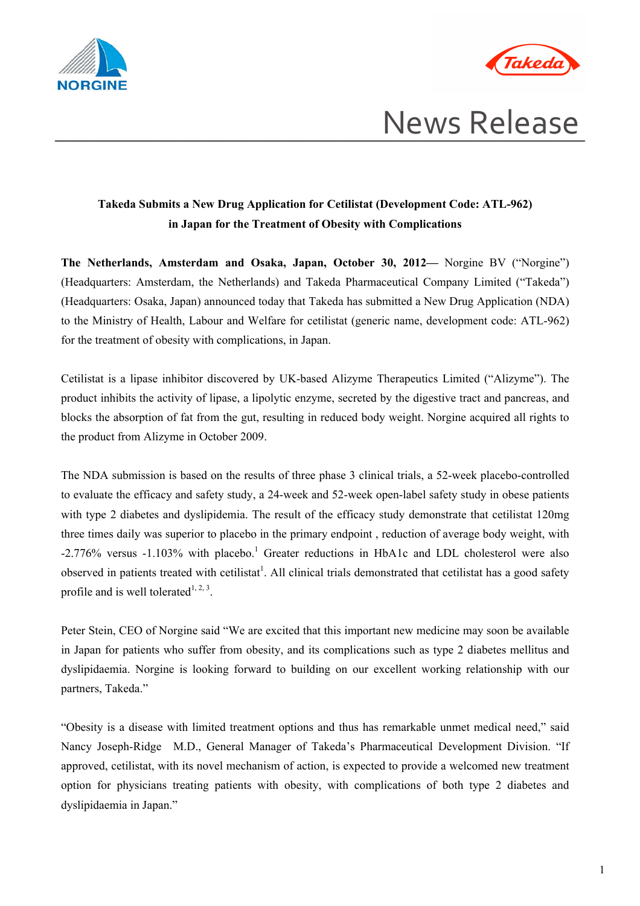



# *Takeda*<br>News Release

# **Takeda Submits a New Drug Application for Cetilistat (Development Code: ATL-962) in Japan for the Treatment of Obesity with Complications**

**The Netherlands, Amsterdam and Osaka, Japan, October 30, 2012—** Norgine BV ("Norgine") (Headquarters: Amsterdam, the Netherlands) and Takeda Pharmaceutical Company Limited ("Takeda") (Headquarters: Osaka, Japan) announced today that Takeda has submitted a New Drug Application (NDA) to the Ministry of Health, Labour and Welfare for cetilistat (generic name, development code: ATL-962) for the treatment of obesity with complications, in Japan.

Cetilistat is a lipase inhibitor discovered by UK-based Alizyme Therapeutics Limited ("Alizyme"). The product inhibits the activity of lipase, a lipolytic enzyme, secreted by the digestive tract and pancreas, and blocks the absorption of fat from the gut, resulting in reduced body weight. Norgine acquired all rights to the product from Alizyme in October 2009.

The NDA submission is based on the results of three phase 3 clinical trials, a 52-week placebo-controlled to evaluate the efficacy and safety study, a 24-week and 52-week open-label safety study in obese patients with type 2 diabetes and dyslipidemia. The result of the efficacy study demonstrate that cetilistat 120mg three times daily was superior to placebo in the primary endpoint , reduction of average body weight, with -2.776% versus -1.103% with placebo.<sup>1</sup> Greater reductions in HbA1c and LDL cholesterol were also observed in patients treated with cetilistat<sup>1</sup>. All clinical trials demonstrated that cetilistat has a good safety profile and is well tolerated $1, 2, 3$ .

Peter Stein, CEO of Norgine said "We are excited that this important new medicine may soon be available in Japan for patients who suffer from obesity, and its complications such as type 2 diabetes mellitus and dyslipidaemia. Norgine is looking forward to building on our excellent working relationship with our partners, Takeda."

"Obesity is a disease with limited treatment options and thus has remarkable unmet medical need," said Nancy Joseph-Ridge M.D., General Manager of Takeda's Pharmaceutical Development Division. "If approved, cetilistat, with its novel mechanism of action, is expected to provide a welcomed new treatment option for physicians treating patients with obesity, with complications of both type 2 diabetes and dyslipidaemia in Japan."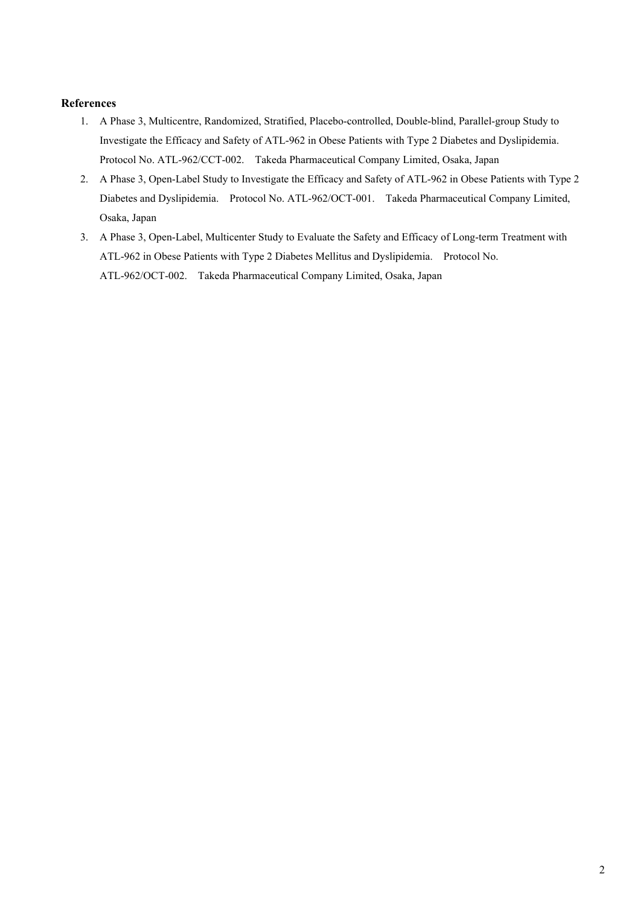# **References**

- 1. A Phase 3, Multicentre, Randomized, Stratified, Placebo-controlled, Double-blind, Parallel-group Study to Investigate the Efficacy and Safety of ATL-962 in Obese Patients with Type 2 Diabetes and Dyslipidemia. Protocol No. ATL-962/CCT-002. Takeda Pharmaceutical Company Limited, Osaka, Japan
- 2. A Phase 3, Open-Label Study to Investigate the Efficacy and Safety of ATL-962 in Obese Patients with Type 2 Diabetes and Dyslipidemia. Protocol No. ATL-962/OCT-001. Takeda Pharmaceutical Company Limited, Osaka, Japan
- 3. A Phase 3, Open-Label, Multicenter Study to Evaluate the Safety and Efficacy of Long-term Treatment with ATL-962 in Obese Patients with Type 2 Diabetes Mellitus and Dyslipidemia. Protocol No. ATL-962/OCT-002. Takeda Pharmaceutical Company Limited, Osaka, Japan